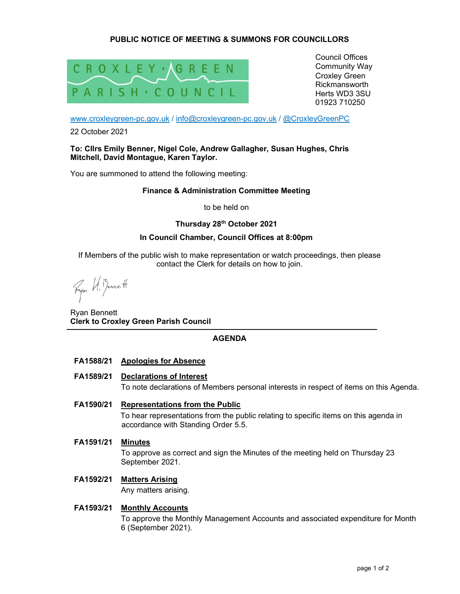# PUBLIC NOTICE OF MEETING & SUMMONS FOR COUNCILLORS



Council Offices Community Way Croxley Green Rickmansworth Herts WD3 3SU 01923 710250

www.croxleygreen-pc.gov.uk / info@croxleygreen-pc.gov.uk / @CroxleyGreenPC

22 October 2021

#### To: Cllrs Emily Benner, Nigel Cole, Andrew Gallagher, Susan Hughes, Chris Mitchell, David Montague, Karen Taylor.

You are summoned to attend the following meeting:

### Finance & Administration Committee Meeting

to be held on

# Thursday 28th October 2021

### In Council Chamber, Council Offices at 8:00pm

If Members of the public wish to make representation or watch proceedings, then please contact the Clerk for details on how to join.

Ryon W. Benett

Ryan Bennett Clerk to Croxley Green Parish Council

# AGENDA

# FA1588/21 Apologies for Absence

FA1589/21 Declarations of Interest

To note declarations of Members personal interests in respect of items on this Agenda.

FA1590/21 Representations from the Public

To hear representations from the public relating to specific items on this agenda in accordance with Standing Order 5.5.

# FA1591/21 Minutes

To approve as correct and sign the Minutes of the meeting held on Thursday 23 September 2021.

# FA1592/21 Matters Arising

Any matters arising.

# FA1593/21 Monthly Accounts

To approve the Monthly Management Accounts and associated expenditure for Month 6 (September 2021).